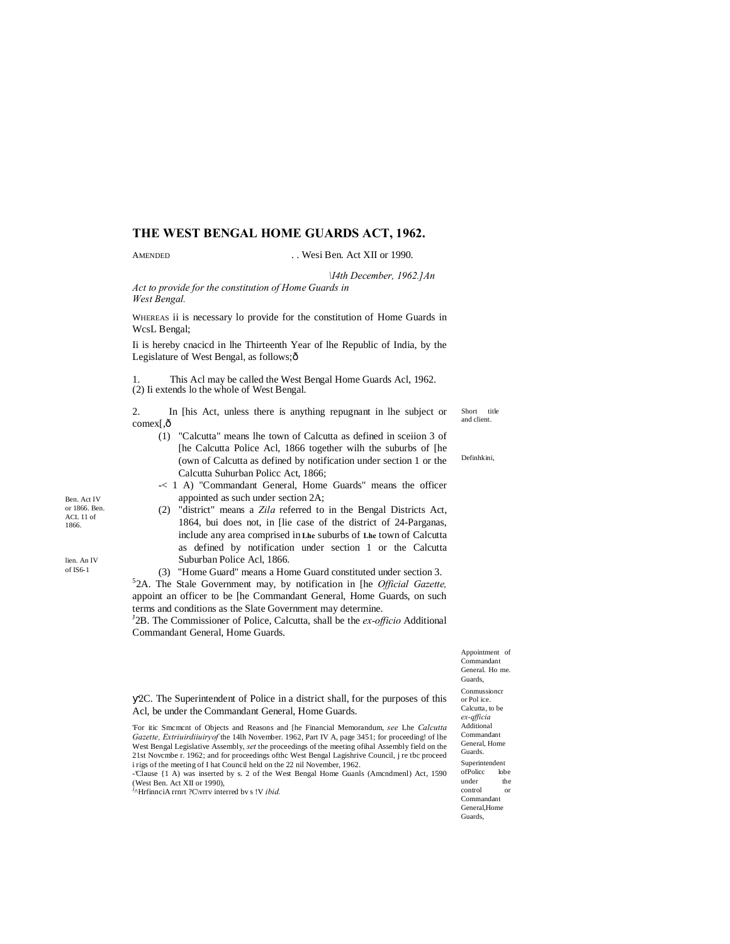# **THE WEST BENGAL HOME GUARDS ACT, 1962.**

### AMENDED ... Wesi Ben. Act XII or 1990.

*\I4th December, 1962.]An*

*Act to provide for the constitution of Home Guards in West Bengal.*

WHEREAS ii is necessary lo provide for the constitution of Home Guards in WcsL Bengal;

Ii is hereby cnacicd in lhe Thirteenth Year of lhe Republic of India, by the Legislature of West Bengal, as follows; ô

1. This Acl may be called the West Bengal Home Guards Acl, 1962. (2) Ii extends lo the whole of West Bengal.

Short title and client. 2. In [his Act, unless there is anything repugnant in lhe subject or comex[,ô

(1) "Calcutta" means lhe town of Calcutta as defined in sceiion 3 of [he Calcutta Police Acl, 1866 together wilh the suburbs of [he (own of Calcutta as defined by notification under section 1 or the Calcutta Suhurban Policc Act, 1866;

-< 1 A) "Commandant General, Home Guards" means the officer appointed as such under section 2A;

(2) "district" means a *Zila* referred to in the Bengal Districts Act, 1864, bui does not, in [lie case of the district of 24-Parganas, include any area comprised in **Lhe** suburbs of **Lhe** town of Calcutta as defined by notification under section 1 or the Calcutta Suburban Police Acl, 1866.

(3) "Home Guard" means a Home Guard constituted under section 3. 5 2A. The Stale Government may, by notification in [he *Official Gazette,* appoint an officer to be [he Commandant General, Home Guards, on such terms and conditions as the Slate Government may determine.

<sup>J</sup>2B. The Commissioner of Police, Calcutta, shall be the *ex-officio* Additional Commandant General, Home Guards.

> Appointment of Commandant General. Ho me. Guards, Conmussioncr or Pol ice. Calcutta, to be *ex-qfficia*  Additional Commandant General, Home Guards. Superintendent ofPolicc lobe under the<br>control or control Commandant General Home Guards,

Definhkini,

2C. The Superintendent of Police in a district shall, for the purposes of this Acl, be under the Commandant General, Home Guards.

'For itic Smcmcnt of Objects and Reasons and [he Financial Memorandum, *see* Lhe *Calcutta Gazette, Extriuirdiiuiryof* the 14lh November. 1962, Part IV A, page 3451; for proceeding! of lhe West Bengal Legislative Assembly, *set* the proceedings of the meeting ofihal Assembly field on the 21st Novcmbe r. 1962; and for proceedings ofthc West Bengal Lagishrive Council, j re tbc proceed i rigs of the meeting of I hat Council held on the 22 nil November, 1962.

-Clause {1 A) was inserted by s. 2 of the West Bengal Home Guanls (Amcndmenl) Act, 1590

(West Ben. Act XII or 1990), J ^HrfinnciA rrnrt ?C\vrrv interred bv s !V *ibid.*

Ben. Act IV or 1866. Ben. ACL 11 of 1866.

lien. An IV of IS6-1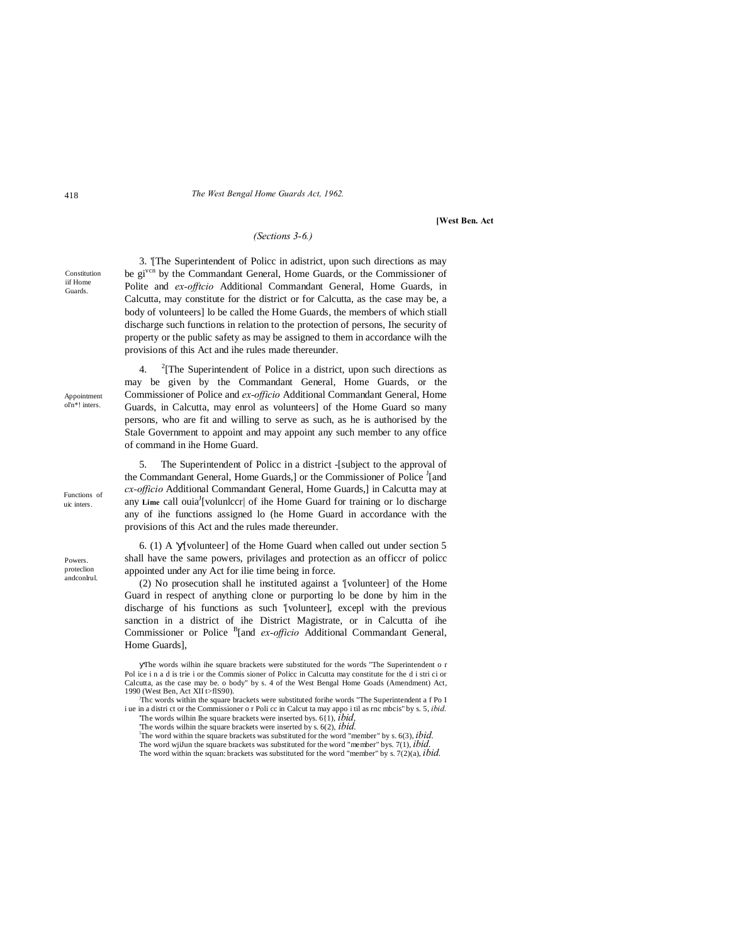#### 418 *The West Bengal Home Guards Act, 1962.*

#### **[West Ben. Act**

# *(Sections 3-6.)*

Constitution iif Home Guards.

Appointment ol'n\*! inters.

Functions of uic inters.

Powers. proteclion andconlrul.

3. '[The Superintendent of Policc in adistrict, upon such directions as may be gi<sup>vcn</sup> by the Commandant General, Home Guards, or the Commissioner of Polite and *ex-offtcio* Additional Commandant General, Home Guards, in Calcutta, may constitute for the district or for Calcutta, as the case may be, a body of volunteers] lo be called the Home Guards, the members of which stiall discharge such functions in relation to the protection of persons, Ihe security of property or the public safety as may be assigned to them in accordance wilh the provisions of this Act and ihe rules made thereunder.

4. <sup>2</sup>  $2$ <sup>2</sup>[The Superintendent of Police in a district, upon such directions as may be given by the Commandant General, Home Guards, or the Commissioner of Police and *ex-officio* Additional Commandant General, Home Guards, in Calcutta, may enrol as volunteers] of the Home Guard so many persons, who are fit and willing to serve as such, as he is authorised by the Stale Government to appoint and may appoint any such member to any office of command in ihe Home Guard.

5. The Superintendent of Policc in a district -[subject to the approval of the Commandant General, Home Guards,] or the Commissioner of Police <sup>J</sup>[and *cx-officio* Additional Commandant General, Home Guards,] in Calcutta may at any Lime call ouia<sup>J</sup>[volunlccr| of ihe Home Guard for training or lo discharge any of ihe functions assigned lo (he Home Guard in accordance with the provisions of this Act and the rules made thereunder.

6. (1) A ' [volunteer] of the Home Guard when called out under section 5 shall have the same powers, privilages and protection as an officcr of policc appointed under any Act for ilie time being in force.

(2) No prosecution shall he instituted against a '[volunteer] of the Home Guard in respect of anything clone or purporting lo be done by him in the discharge of his functions as such '[volunteer], excepl with the previous sanction in a district of ihe District Magistrate, or in Calcutta of ihe Commissioner or Police <sup>B</sup>[and *ex-officio* Additional Commandant General, Home Guards],

The words wilhin ihe square brackets were substituted for the words "The Superintendent o r Pol ice i n a d is trie i or the Commis sioner of Policc in Calcutta may constitute for the d i stri ci or Calcutta, as the case may be. o body" by s. 4 of the West Bengal Home Goads (Amendment) Act, 1990 (West Ben, Act XII t>flS90).

Thc words within the square brackets were substituted forihe words "The Superintendent a f Po I i ue in a distri ct or the Commissioner o r Poli cc in Calcut ta may appo i til as rnc mbcis'' by s. 5, *ibid.* 'The words wilhin Ihe square brackets were inserted bys. 6{1), *ibid,*

The words wilhin the square brackets were inserted by s. 6(2), *ibid.* 

The word within the square brackets was substituted for the word "member" by s. 6(3), *ibid.*

The word wjiJun the square brackets was substituted for the word "member" bys. 7(1), *ibid.* The word within the squan: brackets was substituted for the word "member" by s.  $7(2)(a)$ , *ibid.*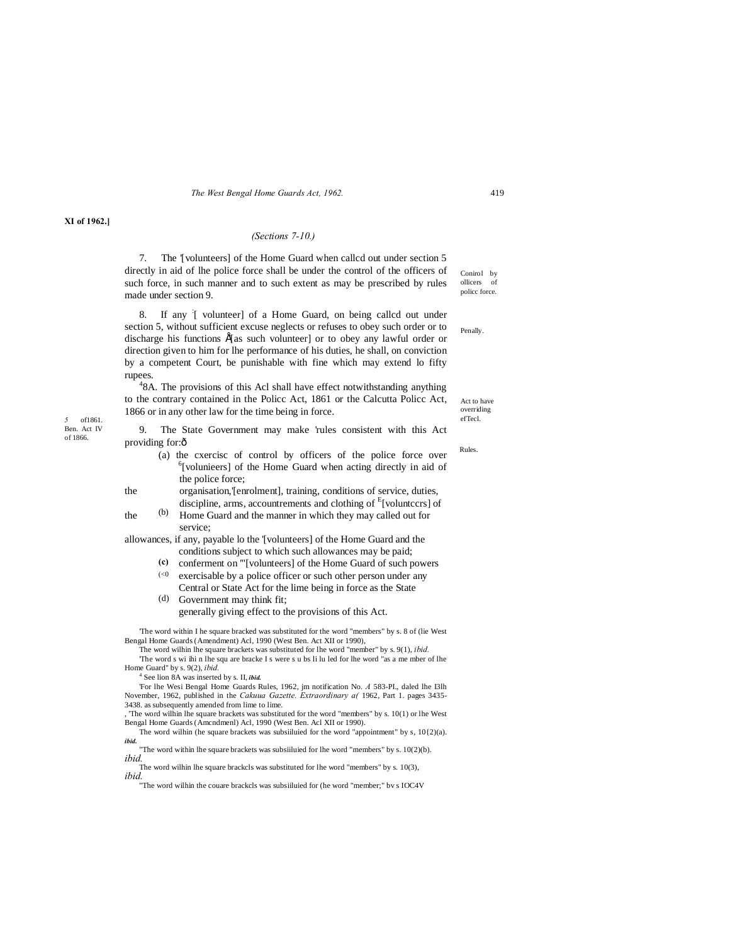*The West Bengal Home Guards Act, 1962.* 419

#### **XI of 1962.]**

### *(Sections 7-10.)*

Conirol by ollicers of policc force. 7. The '[volunteers] of the Home Guard when callcd out under section 5 directly in aid of lhe police force shall be under the control of the officers of such force, in such manner and to such extent as may be prescribed by rules made under section 9.

Penally. 8. If any : [ volunteer] of a Home Guard, on being callcd out under section 5, without sufficient excuse neglects or refuses to obey such order or to discharge his functions  $É$ [as such volunteer] or to obey any lawful order or direction given to him for lhe performance of his duties, he shall, on conviction by a competent Court, be punishable with fine which may extend lo fifty rupees.

*5* of1861. efTecl. <sup>4</sup>8A. The provisions of this Acl shall have effect notwithstanding anything to the contrary contained in the Policc Act, 1861 or the Calcutta Policc Act, 1866 or in any other law for the time being in force.

Ben. Act IV of 1866.

9. The State Government may make 'rules consistent with this Act providing for: $\hat{0}$ 

- (a) the cxercisc of control by officers of the police force over  $6$ [volunieers] of the Home Guard when acting directly in aid of the police force;
- the organisation,'[enrolment], training, conditions of service, duties, discipline, arms, accountrements and clothing of <sup>E</sup>[voluntccrs] of
- (b) the  $\frac{(b)}{c}$  Home Guard and the manner in which they may called out for service;
- allowances, if any, payable lo the '[volunteers] of the Home Guard and the conditions subject to which such allowances may be paid;
	- $(<0$ **(c)** conferment on '"[volunteers] of the Home Guard of such powers
	- exercisable by a police officer or such other person under any Central or State Act for the lime being in force as the State
	- (d) Government may think fit; generally giving effect to the provisions of this Act.

'The word within I he square bracked was substituted for the word "members" by s. 8 of (lie West Bengal Home Guards (Amendment) Acl, 1990 (West Ben. Act XII or 1990),

The word wilhin lhe square brackets was substituted for lhe word "member" by s. 9(1), *ibid.* The word s wi ihi n lhe squ are bracke I s were s u bs li lu led for lhe word "as a me mber of lhe Home Guard" by s.  $9(2)$ . *ibid.* 

<sup>4</sup> See lion 8A was inserted by s. II, *ibid.* 

'For lhe Wesi Bengal Home Guards Rules, 1962, jm notification No. *A* 583-PI., daled lhe I3lh November, 1962, published in the *Cakuua Gazette. Extraordinary a(* 1962, Part 1. pages 3435- 3438. as subsequently amended from lime to lime.

, 'The word wilhin lhe square brackets was substituted for the word "members" by s. 10(1) or lhe West Bengal Home Guards (Amcndmenl) Acl, 1990 (West Ben. Acl XII or 1990).

The word wilhin (he square brackets was subsiiluied for the word "appointment" by s, 10{2)(a). *ibid.*

"The word within lhe square brackets was subsiiluied for lhe word "members" by s. 10(2)(b). *ibid.*

The word wilhin lhe square brackcls was substituted for lhe word "members" by s. 10(3), *ibid.*

"The word wilhin the couare brackcls was subsiiluied for (he word "member;" bv s IOC4V

Act to have overriding<br>efTecl.

Rules.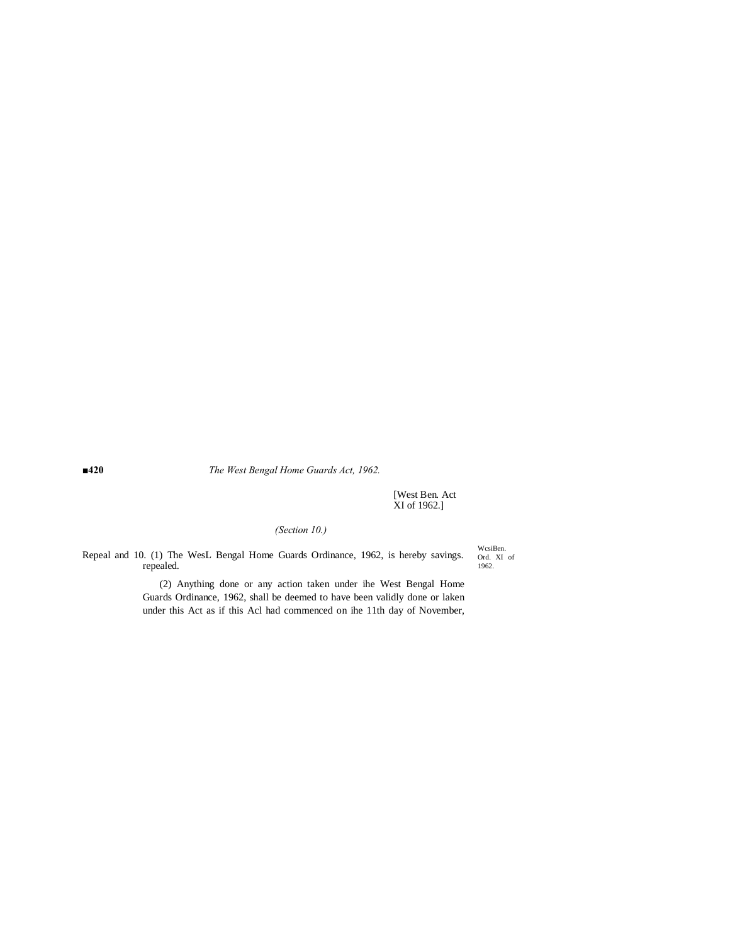**■420** *The West Bengal Home Guards Act, 1962.*

[West Ben. Act XI of 1962.]

# *(Section 10.)*

Repeal and 10. (1) The WesL Bengal Home Guards Ordinance, 1962, is hereby savings. repealed.

WcsiBen. Ord. XI of 1962.

(2) Anything done or any action taken under ihe West Bengal Home Guards Ordinance, 1962, shall be deemed to have been validly done or laken under this Act as if this Acl had commenced on ihe 11th day of November,